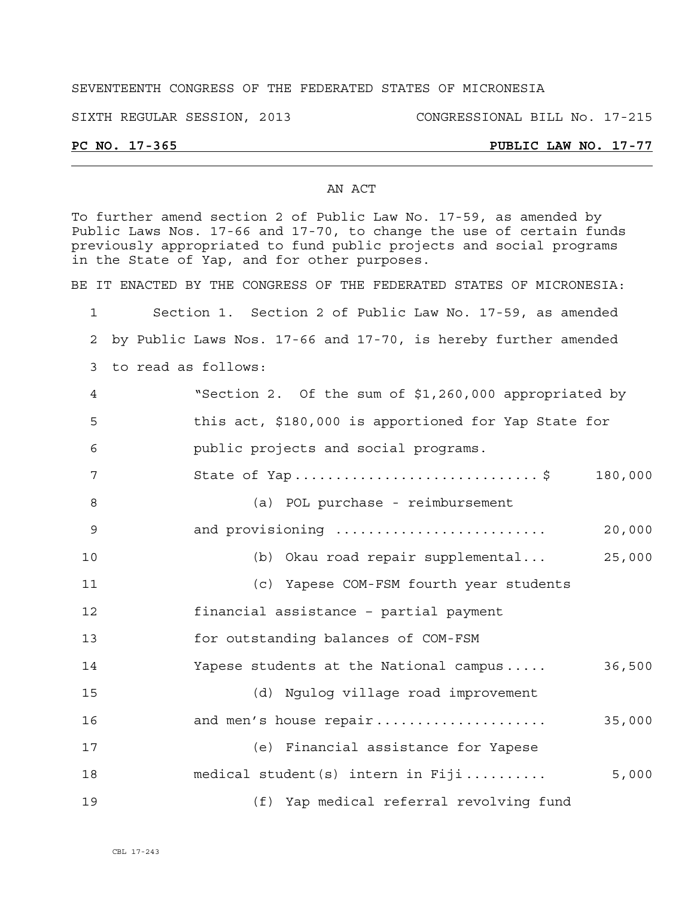## SEVENTEENTH CONGRESS OF THE FEDERATED STATES OF MICRONESIA

SIXTH REGULAR SESSION, 2013 CONGRESSIONAL BILL No. 17-215

# **PC NO. 17-365 PUBLIC LAW NO. 17-77**

### AN ACT

To further amend section 2 of Public Law No. 17-59, as amended by Public Laws Nos. 17-66 and 17-70, to change the use of certain funds previously appropriated to fund public projects and social programs in the State of Yap, and for other purposes.

BE IT ENACTED BY THE CONGRESS OF THE FEDERATED STATES OF MICRONESIA:

1 Section 1. Section 2 of Public Law No. 17-59, as amended 2 by Public Laws Nos. 17-66 and 17-70, is hereby further amended

3 to read as follows:

| $\overline{4}$ | "Section 2. Of the sum of \$1,260,000 appropriated by |
|----------------|-------------------------------------------------------|
| - 5            | this act, \$180,000 is apportioned for Yap State for  |
| - 6            | public projects and social programs.                  |
|                | 180,000                                               |
| - 8            | (a) POL purchase - reimbursement                      |
|                |                                                       |

9 and provisioning .......................... 20,000

10 (b) Okau road repair supplemental... 25,000

11 (c) Yapese COM-FSM fourth year students

12 financial assistance – partial payment

13 for outstanding balances of COM-FSM

14 Yapese students at the National campus ..... 36,500

15 (d) Ngulog village road improvement

16 and men's house repair ..................... 35,000 17 (e) Financial assistance for Yapese 18 medical student(s) intern in Fiji .......... 5,000 19 (f) Yap medical referral revolving fund